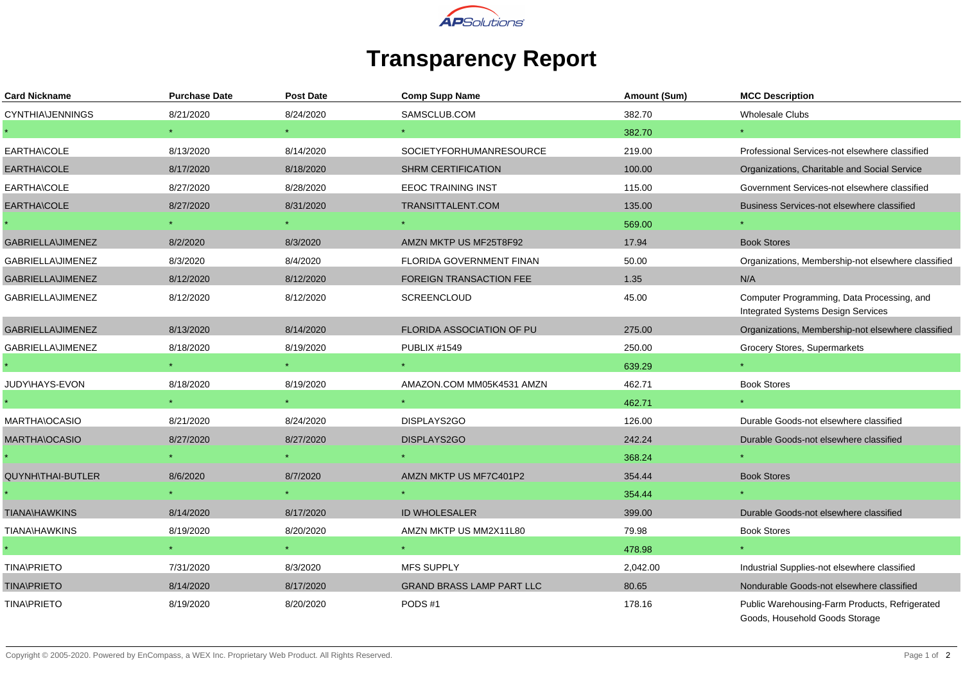

## **Transparency Report**

| <b>Card Nickname</b>     | <b>Purchase Date</b> | Post Date | <b>Comp Supp Name</b>            | Amount (Sum) | <b>MCC Description</b>                                                           |
|--------------------------|----------------------|-----------|----------------------------------|--------------|----------------------------------------------------------------------------------|
| <b>CYNTHIA\JENNINGS</b>  | 8/21/2020            | 8/24/2020 | SAMSCLUB.COM                     | 382.70       | Wholesale Clubs                                                                  |
|                          |                      |           |                                  | 382.70       |                                                                                  |
| EARTHA\COLE              | 8/13/2020            | 8/14/2020 | <b>SOCIETYFORHUMANRESOURCE</b>   | 219.00       | Professional Services-not elsewhere classified                                   |
| EARTHA\COLE              | 8/17/2020            | 8/18/2020 | <b>SHRM CERTIFICATION</b>        | 100.00       | Organizations, Charitable and Social Service                                     |
| EARTHA\COLE              | 8/27/2020            | 8/28/2020 | <b>EEOC TRAINING INST</b>        | 115.00       | Government Services-not elsewhere classified                                     |
| EARTHA\COLE              | 8/27/2020            | 8/31/2020 | TRANSITTALENT.COM                | 135.00       | Business Services-not elsewhere classified                                       |
|                          |                      |           |                                  | 569.00       |                                                                                  |
| <b>GABRIELLA\JIMENEZ</b> | 8/2/2020             | 8/3/2020  | AMZN MKTP US MF25T8F92           | 17.94        | <b>Book Stores</b>                                                               |
| GABRIELLA\JIMENEZ        | 8/3/2020             | 8/4/2020  | FLORIDA GOVERNMENT FINAN         | 50.00        | Organizations, Membership-not elsewhere classified                               |
| GABRIELLA\JIMENEZ        | 8/12/2020            | 8/12/2020 | <b>FOREIGN TRANSACTION FEE</b>   | 1.35         | N/A                                                                              |
| GABRIELLA\JIMENEZ        | 8/12/2020            | 8/12/2020 | <b>SCREENCLOUD</b>               | 45.00        | Computer Programming, Data Processing, and<br>Integrated Systems Design Services |
| <b>GABRIELLA\JIMENEZ</b> | 8/13/2020            | 8/14/2020 | <b>FLORIDA ASSOCIATION OF PU</b> | 275.00       | Organizations, Membership-not elsewhere classified                               |
| <b>GABRIELLA\JIMENEZ</b> | 8/18/2020            | 8/19/2020 | <b>PUBLIX #1549</b>              | 250.00       | Grocery Stores, Supermarkets                                                     |
|                          | $\star$ . $\sim$     |           |                                  | 639.29       |                                                                                  |
| JUDY\HAYS-EVON           | 8/18/2020            | 8/19/2020 | AMAZON.COM MM05K4531 AMZN        | 462.71       | <b>Book Stores</b>                                                               |
|                          |                      |           |                                  | 462.71       |                                                                                  |
| MARTHA\OCASIO            | 8/21/2020            | 8/24/2020 | DISPLAYS2GO                      | 126.00       | Durable Goods-not elsewhere classified                                           |
| <b>MARTHA\OCASIO</b>     | 8/27/2020            | 8/27/2020 | DISPLAYS2GO                      | 242.24       | Durable Goods-not elsewhere classified                                           |
|                          |                      |           |                                  | 368.24       |                                                                                  |
| <b>QUYNH\THAI-BUTLER</b> | 8/6/2020             | 8/7/2020  | AMZN MKTP US MF7C401P2           | 354.44       | <b>Book Stores</b>                                                               |
|                          |                      |           |                                  | 354.44       |                                                                                  |
| <b>TIANA\HAWKINS</b>     | 8/14/2020            | 8/17/2020 | <b>ID WHOLESALER</b>             | 399.00       | Durable Goods-not elsewhere classified                                           |
| TIANA\HAWKINS            | 8/19/2020            | 8/20/2020 | AMZN MKTP US MM2X11L80           | 79.98        | <b>Book Stores</b>                                                               |
|                          |                      |           |                                  | 478.98       |                                                                                  |
| <b>TINA\PRIETO</b>       | 7/31/2020            | 8/3/2020  | <b>MFS SUPPLY</b>                | 2,042.00     | Industrial Supplies-not elsewhere classified                                     |
| <b>TINA\PRIETO</b>       | 8/14/2020            | 8/17/2020 | <b>GRAND BRASS LAMP PART LLC</b> | 80.65        | Nondurable Goods-not elsewhere classified                                        |
| <b>TINA\PRIETO</b>       | 8/19/2020            | 8/20/2020 | PODS#1                           | 178.16       | Public Warehousing-Farm Products, Refrigerated<br>Goods, Household Goods Storage |